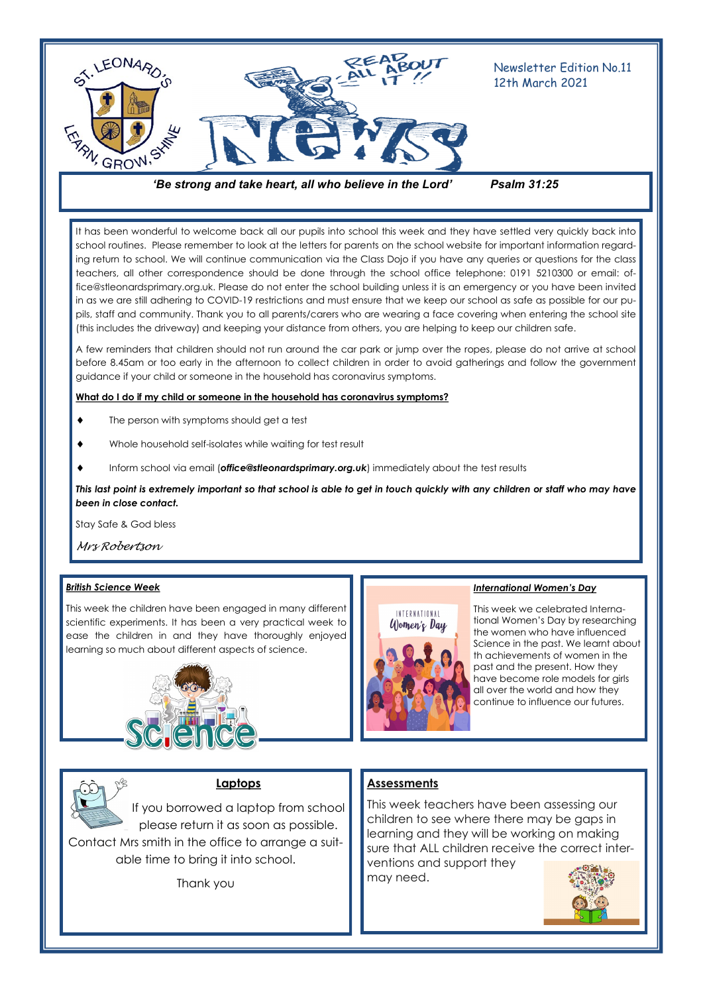

*'Be strong and take heart, all who believe in the Lord' Psalm 31:25*

It has been wonderful to welcome back all our pupils into school this week and they have settled very quickly back into school routines. Please remember to look at the letters for parents on the school website for important information regarding return to school. We will continue communication via the Class Dojo if you have any queries or questions for the class teachers, all other correspondence should be done through the school office telephone: 0191 5210300 or email: office@stleonardsprimary.org.uk. Please do not enter the school building unless it is an emergency or you have been invited in as we are still adhering to COVID-19 restrictions and must ensure that we keep our school as safe as possible for our pupils, staff and community. Thank you to all parents/carers who are wearing a face covering when entering the school site (this includes the driveway) and keeping your distance from others, you are helping to keep our children safe.

A few reminders that children should not run around the car park or jump over the ropes, please do not arrive at school before 8.45am or too early in the afternoon to collect children in order to avoid gatherings and follow the government guidance if your child or someone in the household has coronavirus symptoms.

#### **What do I do if my child or someone in the household has coronavirus symptoms?**

- The person with symptoms should get a test
- Whole household self-isolates while waiting for test result
- Inform school via email (*office@stleonardsprimary.org.uk*) immediately about the test results

*This last point is extremely important so that school is able to get in touch quickly with any children or staff who may have been in close contact.* 

Stay Safe & God bless

*Mrs Robertson*

#### *British Science Week*

This week the children have been engaged in many different scientific experiments. It has been a very practical week to ease the children in and they have thoroughly enjoyed learning so much about different aspects of science.





#### **Laptops**

If you borrowed a laptop from school please return it as soon as possible. Contact Mrs smith in the office to arrange a suitable time to bring it into school.

Thank you

# INTERNATIONAL  $U$  omen's Day

#### *International Women's Day*

This week we celebrated International Women's Day by researching the women who have influenced Science in the past. We learnt about th achievements of women in the past and the present. How they have become role models for girls all over the world and how they continue to influence our futures.

#### **Assessments**

This week teachers have been assessing our children to see where there may be gaps in learning and they will be working on making sure that ALL children receive the correct interventions and support they may need.